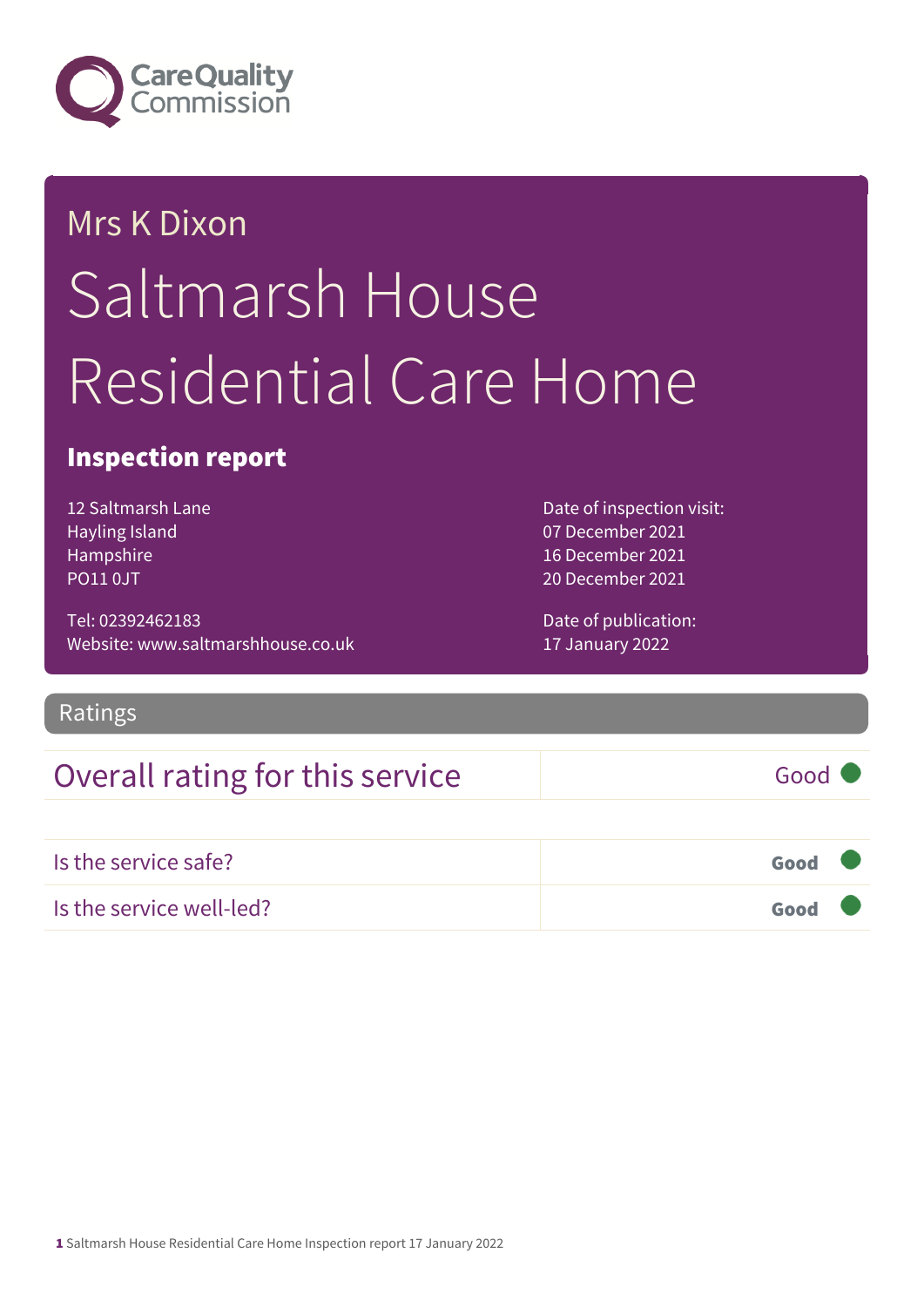

# Mrs K Dixon Saltmarsh House Residential Care Home

## Inspection report

12 Saltmarsh Lane Hayling Island Hampshire PO11 0JT

Tel: 02392462183 Website: www.saltmarshhouse.co.uk Date of inspection visit: 07 December 2021 16 December 2021 20 December 2021

Date of publication: 17 January 2022

### Ratings

## Overall rating for this service Good

| Is the service safe?     | Good <b>V</b> |  |
|--------------------------|---------------|--|
| Is the service well-led? | Good Q        |  |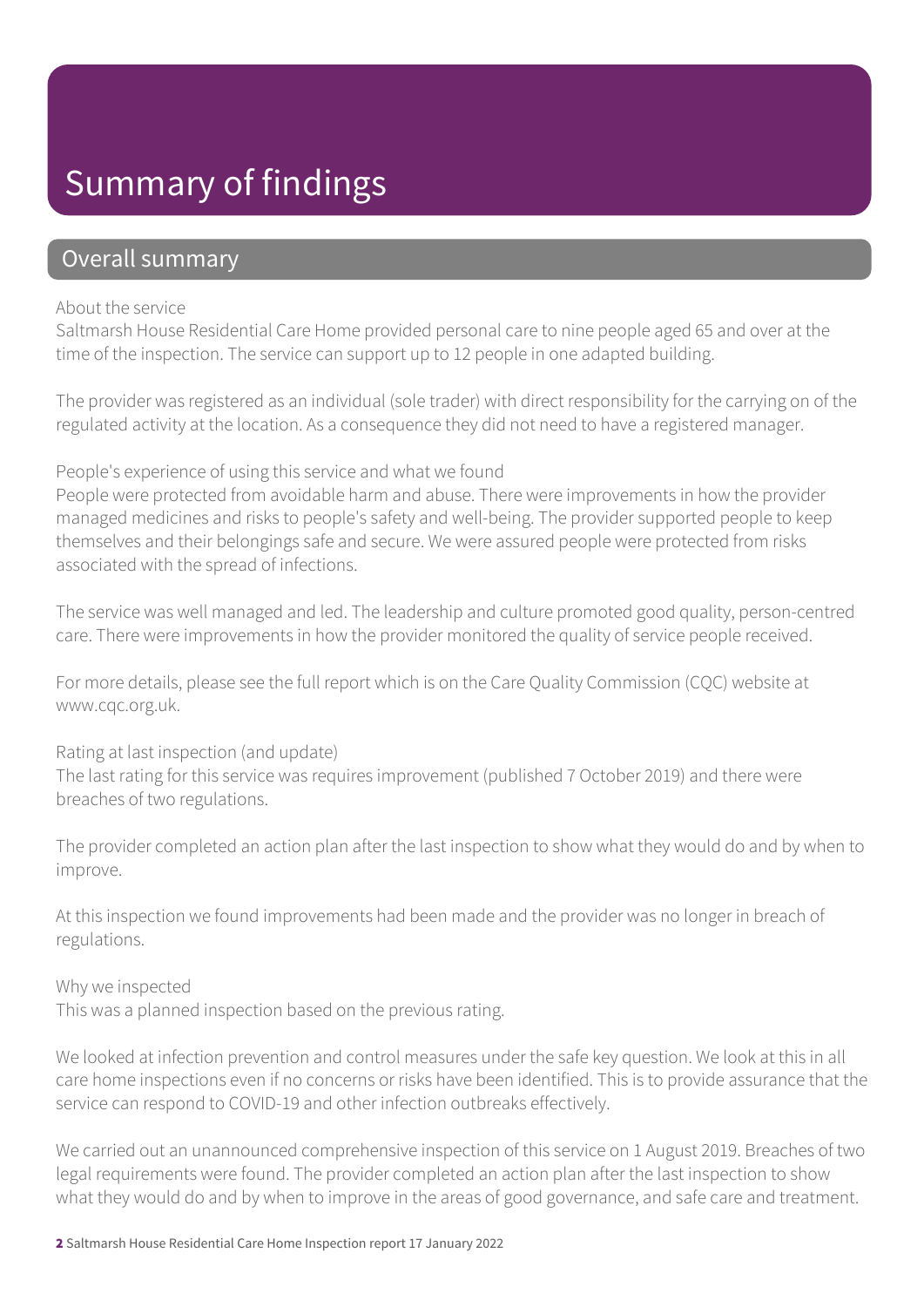## Summary of findings

### Overall summary

#### About the service

Saltmarsh House Residential Care Home provided personal care to nine people aged 65 and over at the time of the inspection. The service can support up to 12 people in one adapted building.

The provider was registered as an individual (sole trader) with direct responsibility for the carrying on of the regulated activity at the location. As a consequence they did not need to have a registered manager.

#### People's experience of using this service and what we found

People were protected from avoidable harm and abuse. There were improvements in how the provider managed medicines and risks to people's safety and well-being. The provider supported people to keep themselves and their belongings safe and secure. We were assured people were protected from risks associated with the spread of infections.

The service was well managed and led. The leadership and culture promoted good quality, person-centred care. There were improvements in how the provider monitored the quality of service people received.

For more details, please see the full report which is on the Care Quality Commission (CQC) website at www.cqc.org.uk.

Rating at last inspection (and update) The last rating for this service was requires improvement (published 7 October 2019) and there were breaches of two regulations.

The provider completed an action plan after the last inspection to show what they would do and by when to improve.

At this inspection we found improvements had been made and the provider was no longer in breach of regulations.

Why we inspected

This was a planned inspection based on the previous rating.

We looked at infection prevention and control measures under the safe key question. We look at this in all care home inspections even if no concerns or risks have been identified. This is to provide assurance that the service can respond to COVID-19 and other infection outbreaks effectively.

We carried out an unannounced comprehensive inspection of this service on 1 August 2019. Breaches of two legal requirements were found. The provider completed an action plan after the last inspection to show what they would do and by when to improve in the areas of good governance, and safe care and treatment.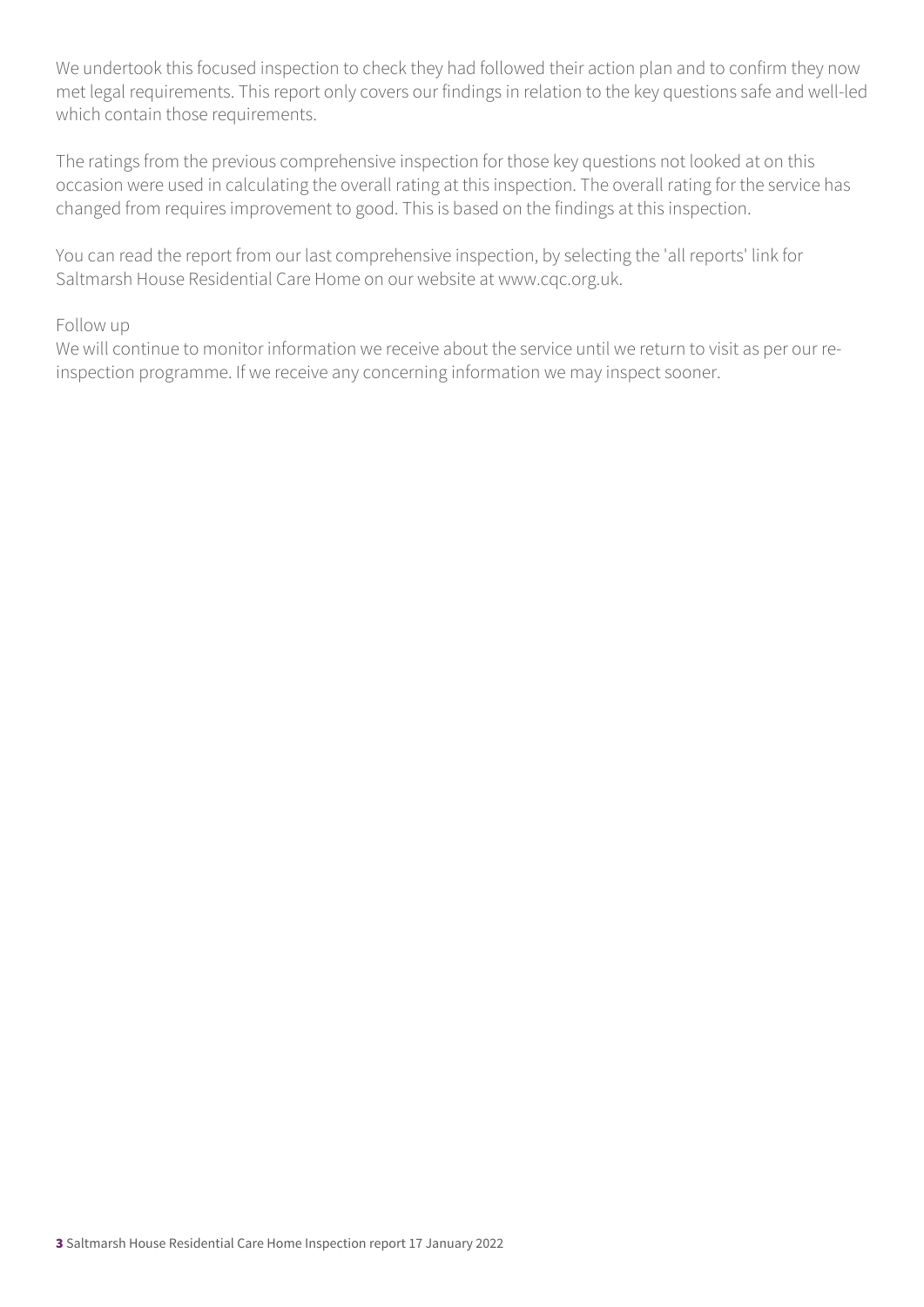We undertook this focused inspection to check they had followed their action plan and to confirm they now met legal requirements. This report only covers our findings in relation to the key questions safe and well-led which contain those requirements.

The ratings from the previous comprehensive inspection for those key questions not looked at on this occasion were used in calculating the overall rating at this inspection. The overall rating for the service has changed from requires improvement to good. This is based on the findings at this inspection.

You can read the report from our last comprehensive inspection, by selecting the 'all reports' link for Saltmarsh House Residential Care Home on our website at www.cqc.org.uk.

#### Follow up

We will continue to monitor information we receive about the service until we return to visit as per our reinspection programme. If we receive any concerning information we may inspect sooner.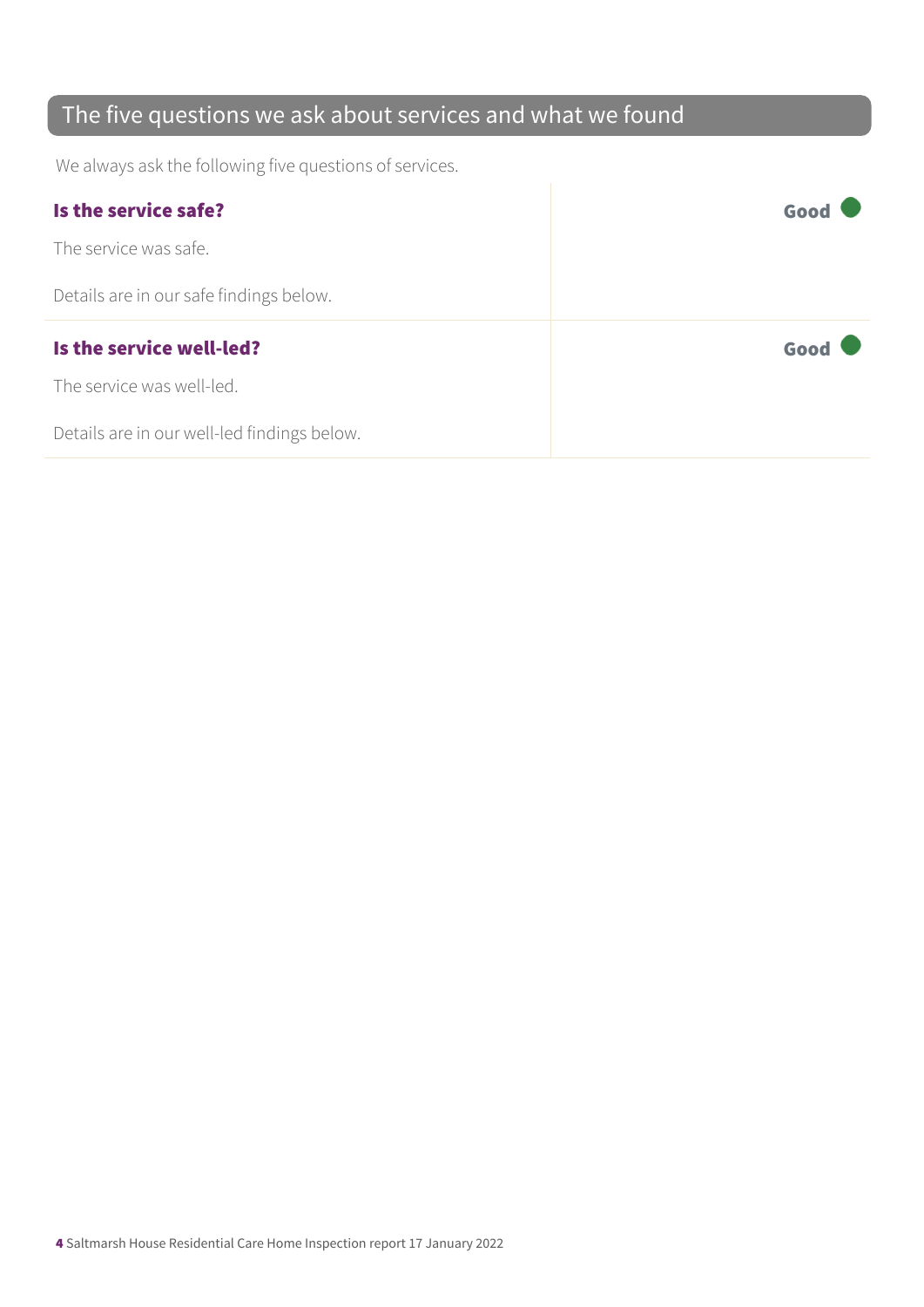## The five questions we ask about services and what we found

We always ask the following five questions of services.

| Is the service safe?                    | Good |
|-----------------------------------------|------|
| The service was safe.                   |      |
| Details are in our safe findings below. |      |
|                                         |      |
| Is the service well-led?                | Good |
| The service was well-led.               |      |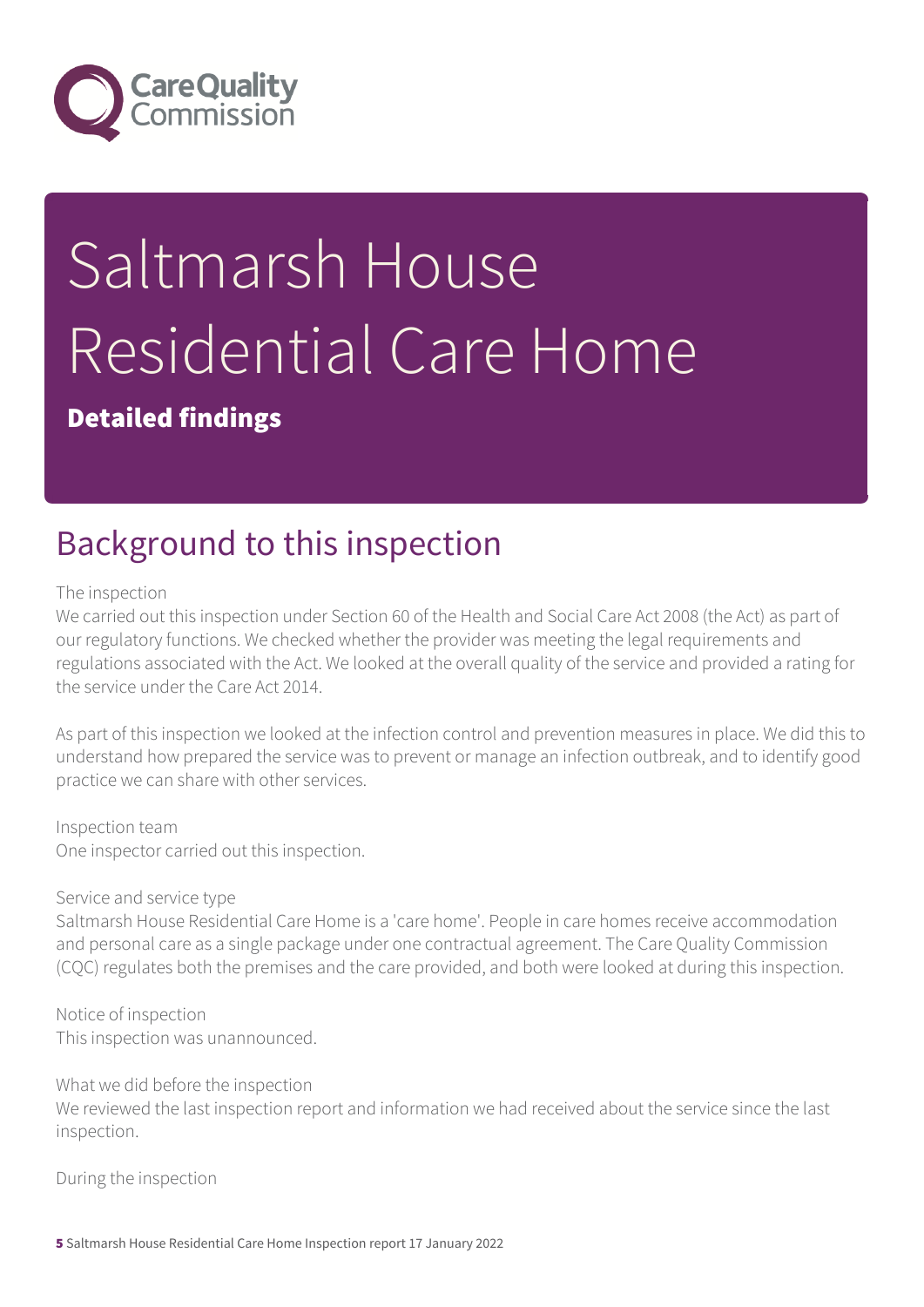

# Saltmarsh House Residential Care Home

Detailed findings

# Background to this inspection

The inspection

We carried out this inspection under Section 60 of the Health and Social Care Act 2008 (the Act) as part of our regulatory functions. We checked whether the provider was meeting the legal requirements and regulations associated with the Act. We looked at the overall quality of the service and provided a rating for the service under the Care Act 2014.

As part of this inspection we looked at the infection control and prevention measures in place. We did this to understand how prepared the service was to prevent or manage an infection outbreak, and to identify good practice we can share with other services.

Inspection team One inspector carried out this inspection.

#### Service and service type

Saltmarsh House Residential Care Home is a 'care home'. People in care homes receive accommodation and personal care as a single package under one contractual agreement. The Care Quality Commission (CQC) regulates both the premises and the care provided, and both were looked at during this inspection.

Notice of inspection This inspection was unannounced.

What we did before the inspection We reviewed the last inspection report and information we had received about the service since the last inspection.

During the inspection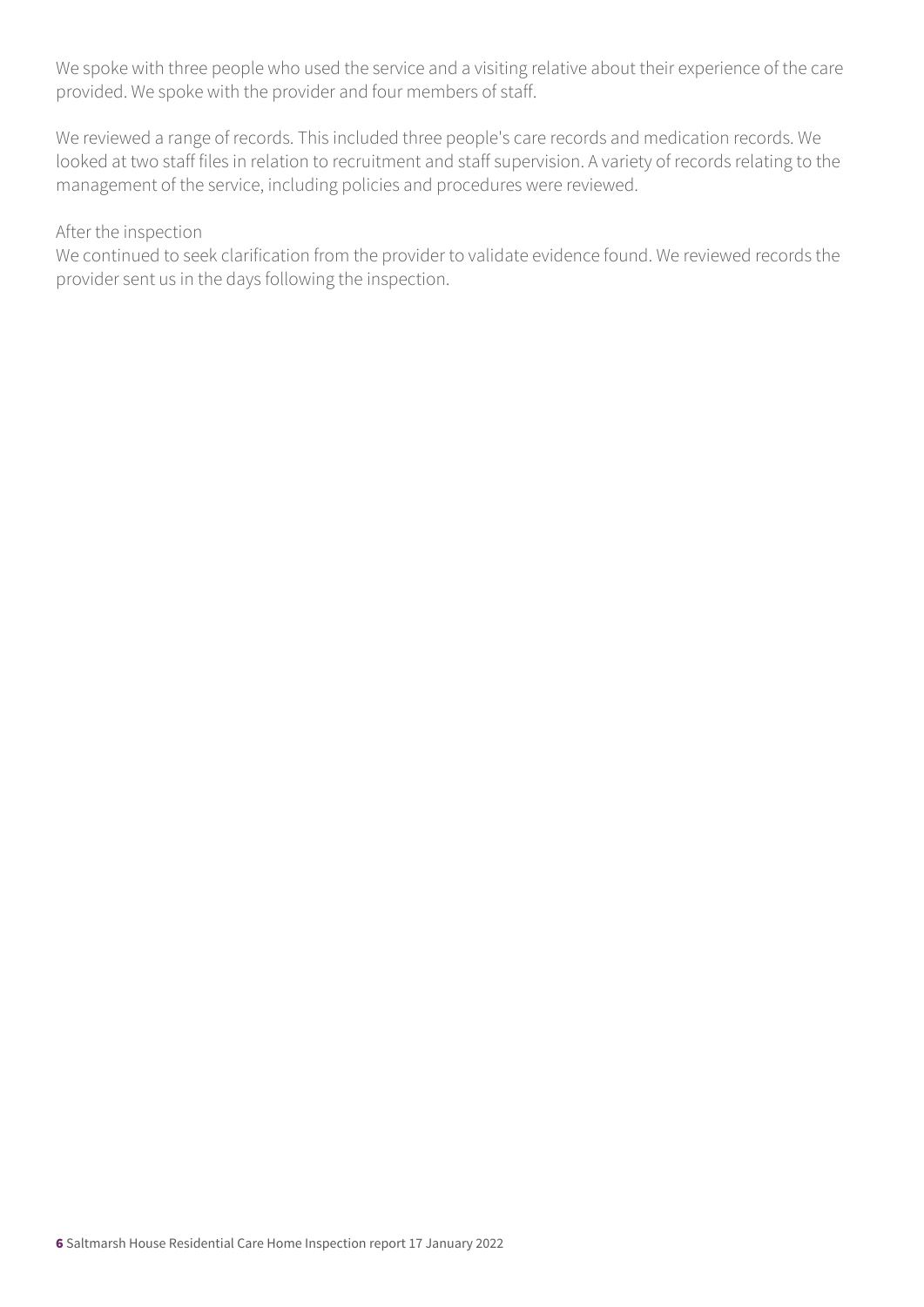We spoke with three people who used the service and a visiting relative about their experience of the care provided. We spoke with the provider and four members of staff.

We reviewed a range of records. This included three people's care records and medication records. We looked at two staff files in relation to recruitment and staff supervision. A variety of records relating to the management of the service, including policies and procedures were reviewed.

#### After the inspection

We continued to seek clarification from the provider to validate evidence found. We reviewed records the provider sent us in the days following the inspection.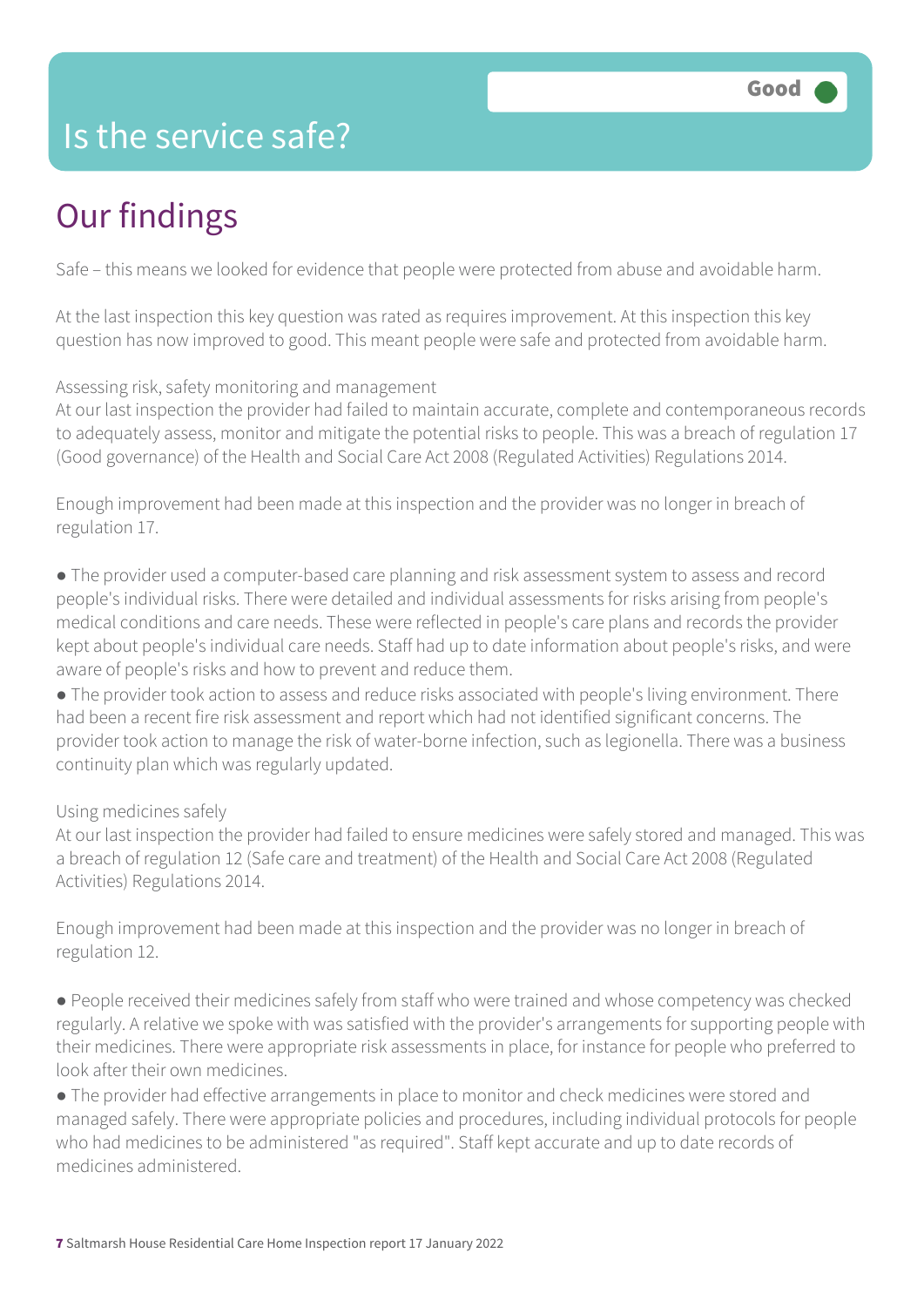## Is the service safe?

# Our findings

Safe – this means we looked for evidence that people were protected from abuse and avoidable harm.

At the last inspection this key question was rated as requires improvement. At this inspection this key question has now improved to good. This meant people were safe and protected from avoidable harm.

Assessing risk, safety monitoring and management

At our last inspection the provider had failed to maintain accurate, complete and contemporaneous records to adequately assess, monitor and mitigate the potential risks to people. This was a breach of regulation 17 (Good governance) of the Health and Social Care Act 2008 (Regulated Activities) Regulations 2014.

Enough improvement had been made at this inspection and the provider was no longer in breach of regulation 17.

● The provider used a computer-based care planning and risk assessment system to assess and record people's individual risks. There were detailed and individual assessments for risks arising from people's medical conditions and care needs. These were reflected in people's care plans and records the provider kept about people's individual care needs. Staff had up to date information about people's risks, and were aware of people's risks and how to prevent and reduce them.

● The provider took action to assess and reduce risks associated with people's living environment. There had been a recent fire risk assessment and report which had not identified significant concerns. The provider took action to manage the risk of water-borne infection, such as legionella. There was a business continuity plan which was regularly updated.

#### Using medicines safely

At our last inspection the provider had failed to ensure medicines were safely stored and managed. This was a breach of regulation 12 (Safe care and treatment) of the Health and Social Care Act 2008 (Regulated Activities) Regulations 2014.

Enough improvement had been made at this inspection and the provider was no longer in breach of regulation 12.

● People received their medicines safely from staff who were trained and whose competency was checked regularly. A relative we spoke with was satisfied with the provider's arrangements for supporting people with their medicines. There were appropriate risk assessments in place, for instance for people who preferred to look after their own medicines.

● The provider had effective arrangements in place to monitor and check medicines were stored and managed safely. There were appropriate policies and procedures, including individual protocols for people who had medicines to be administered "as required". Staff kept accurate and up to date records of medicines administered.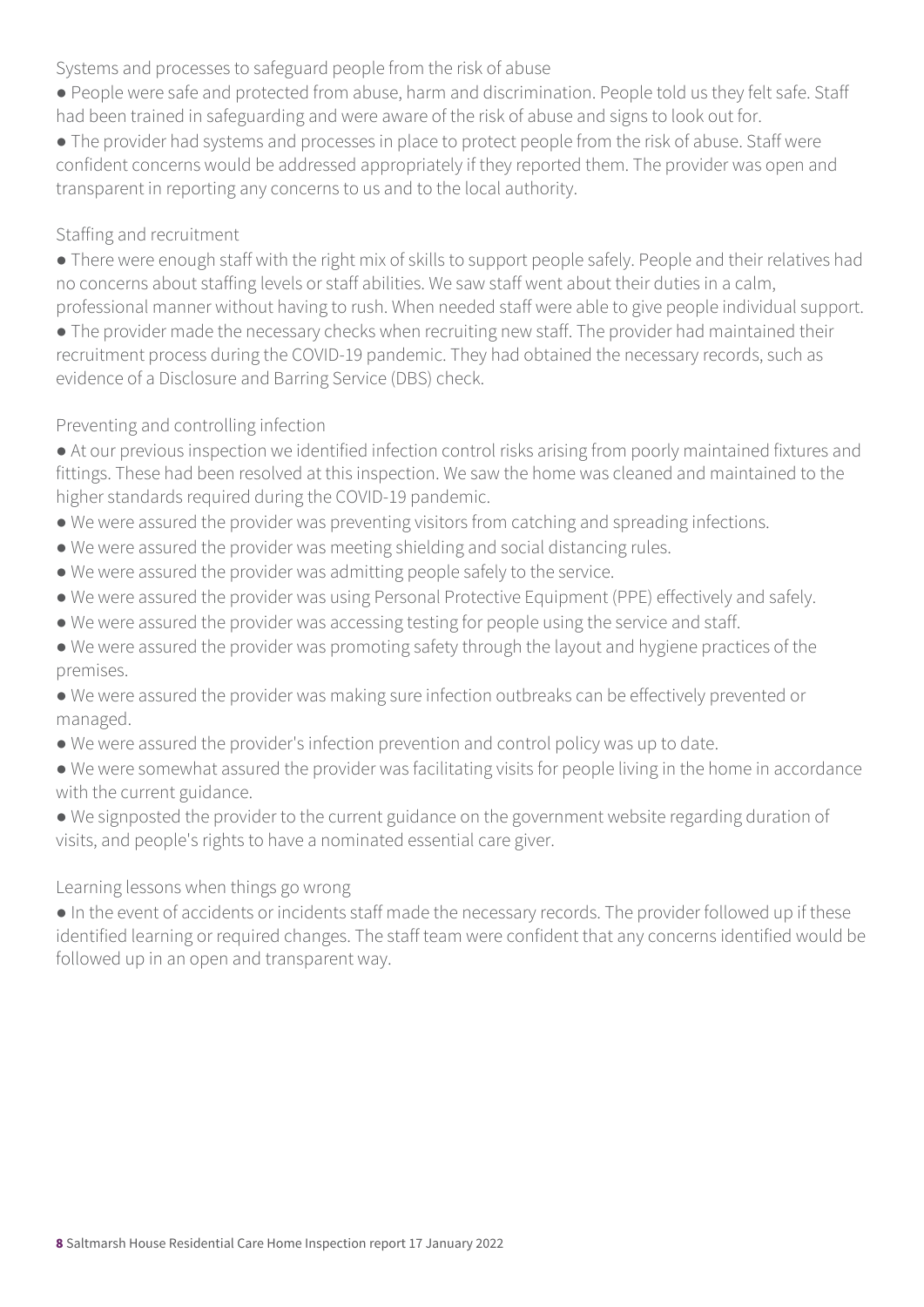Systems and processes to safeguard people from the risk of abuse

● People were safe and protected from abuse, harm and discrimination. People told us they felt safe. Staff had been trained in safeguarding and were aware of the risk of abuse and signs to look out for.

● The provider had systems and processes in place to protect people from the risk of abuse. Staff were confident concerns would be addressed appropriately if they reported them. The provider was open and transparent in reporting any concerns to us and to the local authority.

#### Staffing and recruitment

● There were enough staff with the right mix of skills to support people safely. People and their relatives had no concerns about staffing levels or staff abilities. We saw staff went about their duties in a calm, professional manner without having to rush. When needed staff were able to give people individual support.

• The provider made the necessary checks when recruiting new staff. The provider had maintained their recruitment process during the COVID-19 pandemic. They had obtained the necessary records, such as evidence of a Disclosure and Barring Service (DBS) check.

#### Preventing and controlling infection

- At our previous inspection we identified infection control risks arising from poorly maintained fixtures and fittings. These had been resolved at this inspection. We saw the home was cleaned and maintained to the higher standards required during the COVID-19 pandemic.
- We were assured the provider was preventing visitors from catching and spreading infections.
- We were assured the provider was meeting shielding and social distancing rules.
- We were assured the provider was admitting people safely to the service.
- We were assured the provider was using Personal Protective Equipment (PPE) effectively and safely.
- We were assured the provider was accessing testing for people using the service and staff.
- We were assured the provider was promoting safety through the layout and hygiene practices of the premises.
- We were assured the provider was making sure infection outbreaks can be effectively prevented or managed.
- We were assured the provider's infection prevention and control policy was up to date.
- We were somewhat assured the provider was facilitating visits for people living in the home in accordance with the current guidance.
- We signposted the provider to the current guidance on the government website regarding duration of visits, and people's rights to have a nominated essential care giver.

#### Learning lessons when things go wrong

● In the event of accidents or incidents staff made the necessary records. The provider followed up if these identified learning or required changes. The staff team were confident that any concerns identified would be followed up in an open and transparent way.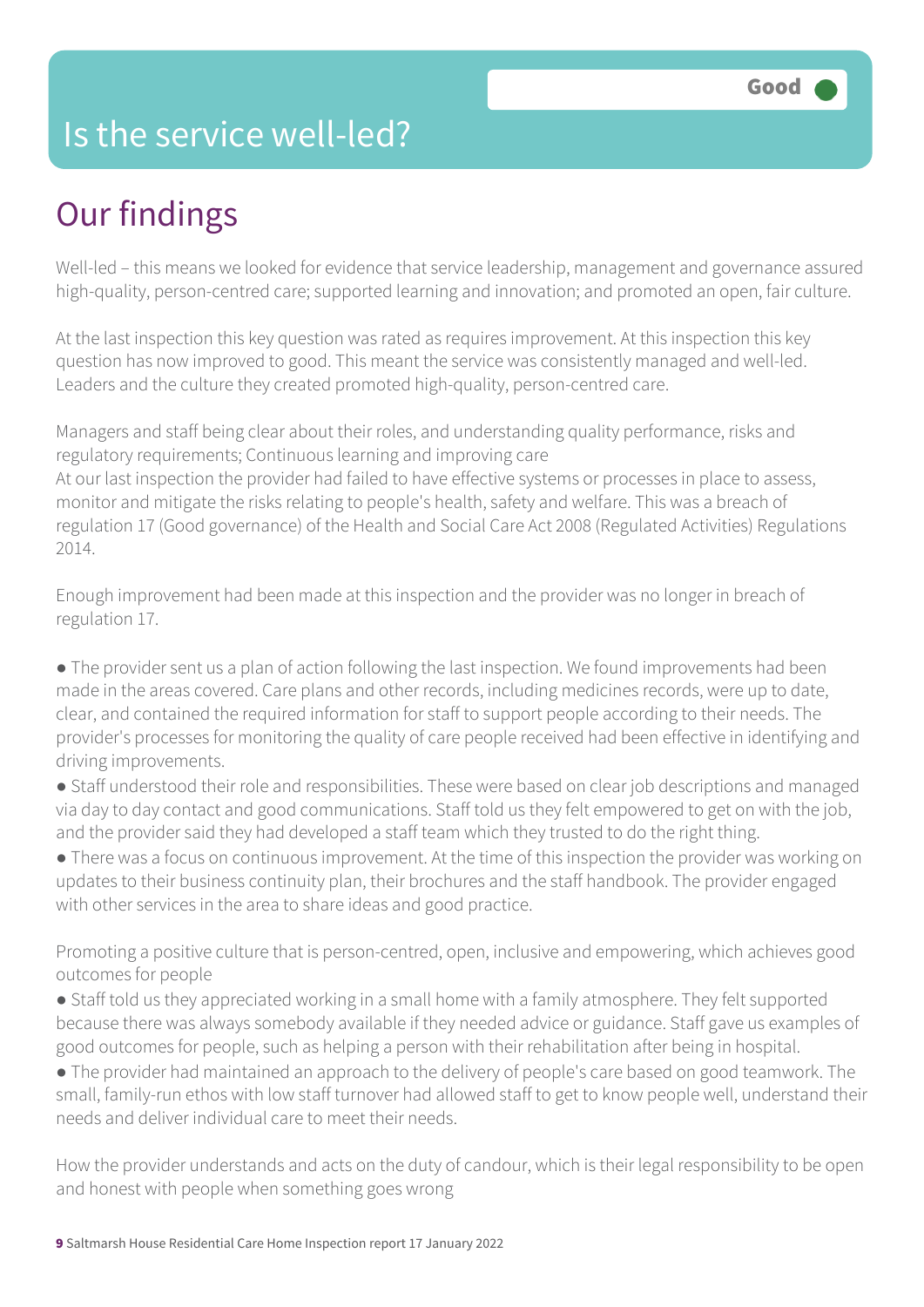## Is the service well-led?

# Our findings

Well-led – this means we looked for evidence that service leadership, management and governance assured high-quality, person-centred care; supported learning and innovation; and promoted an open, fair culture.

At the last inspection this key question was rated as requires improvement. At this inspection this key question has now improved to good. This meant the service was consistently managed and well-led. Leaders and the culture they created promoted high-quality, person-centred care.

Managers and staff being clear about their roles, and understanding quality performance, risks and regulatory requirements; Continuous learning and improving care At our last inspection the provider had failed to have effective systems or processes in place to assess, monitor and mitigate the risks relating to people's health, safety and welfare. This was a breach of regulation 17 (Good governance) of the Health and Social Care Act 2008 (Regulated Activities) Regulations 2014.

Enough improvement had been made at this inspection and the provider was no longer in breach of regulation 17.

• The provider sent us a plan of action following the last inspection. We found improvements had been made in the areas covered. Care plans and other records, including medicines records, were up to date, clear, and contained the required information for staff to support people according to their needs. The provider's processes for monitoring the quality of care people received had been effective in identifying and driving improvements.

● Staff understood their role and responsibilities. These were based on clear job descriptions and managed via day to day contact and good communications. Staff told us they felt empowered to get on with the job, and the provider said they had developed a staff team which they trusted to do the right thing.

● There was a focus on continuous improvement. At the time of this inspection the provider was working on updates to their business continuity plan, their brochures and the staff handbook. The provider engaged with other services in the area to share ideas and good practice.

Promoting a positive culture that is person-centred, open, inclusive and empowering, which achieves good outcomes for people

● Staff told us they appreciated working in a small home with a family atmosphere. They felt supported because there was always somebody available if they needed advice or guidance. Staff gave us examples of good outcomes for people, such as helping a person with their rehabilitation after being in hospital.

● The provider had maintained an approach to the delivery of people's care based on good teamwork. The small, family-run ethos with low staff turnover had allowed staff to get to know people well, understand their needs and deliver individual care to meet their needs.

How the provider understands and acts on the duty of candour, which is their legal responsibility to be open and honest with people when something goes wrong